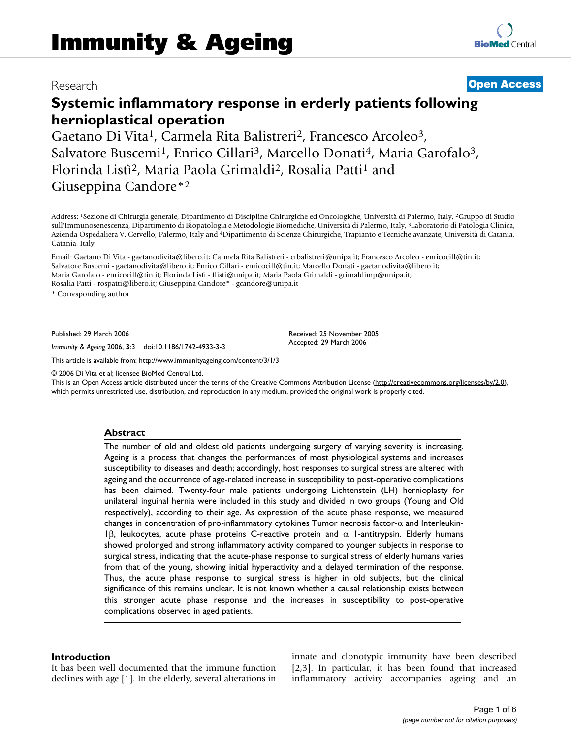# Research **[Open Access](http://www.biomedcentral.com/info/about/charter/)**

# **Systemic inflammatory response in erderly patients following hernioplastical operation**

Gaetano Di Vita<sup>1</sup>, Carmela Rita Balistreri<sup>2</sup>, Francesco Arcoleo<sup>3</sup>, Salvatore Buscemi<sup>1</sup>, Enrico Cillari<sup>3</sup>, Marcello Donati<sup>4</sup>, Maria Garofalo<sup>3</sup>, Florinda Listì2, Maria Paola Grimaldi2, Rosalia Patti1 and Giuseppina Candore\*2

Address: 1Sezione di Chirurgia generale, Dipartimento di Discipline Chirurgiche ed Oncologiche, Università di Palermo, Italy, 2Gruppo di Studio sull'Immunosenescenza, Dipartimento di Biopatologia e Metodologie Biomediche, Università di Palermo, Italy, 3Laboratorio di Patologia Clinica, Azienda Ospedaliera V. Cervello, Palermo, Italy and 4Dipartimento di Scienze Chirurgiche, Trapianto e Tecniche avanzate, Università di Catania, Catania, Italy

Email: Gaetano Di Vita - gaetanodivita@libero.it; Carmela Rita Balistreri - crbalistreri@unipa.it; Francesco Arcoleo - enricocill@tin.it; Salvatore Buscemi - gaetanodivita@libero.it; Enrico Cillari - enricocill@tin.it; Marcello Donati - gaetanodivita@libero.it; Maria Garofalo - enricocill@tin.it; Florinda Listì - flisti@unipa.it; Maria Paola Grimaldi - grimaldimp@unipa.it; Rosalia Patti - rospatti@libero.it; Giuseppina Candore\* - gcandore@unipa.it

\* Corresponding author

Published: 29 March 2006

*Immunity & Ageing* 2006, **3**:3 doi:10.1186/1742-4933-3-3

[This article is available from: http://www.immunityageing.com/content/3/1/3](http://www.immunityageing.com/content/3/1/3)

© 2006 Di Vita et al; licensee BioMed Central Ltd.

This is an Open Access article distributed under the terms of the Creative Commons Attribution License [\(http://creativecommons.org/licenses/by/2.0\)](http://creativecommons.org/licenses/by/2.0), which permits unrestricted use, distribution, and reproduction in any medium, provided the original work is properly cited.

Received: 25 November 2005 Accepted: 29 March 2006

# **Abstract**

The number of old and oldest old patients undergoing surgery of varying severity is increasing. Ageing is a process that changes the performances of most physiological systems and increases susceptibility to diseases and death; accordingly, host responses to surgical stress are altered with ageing and the occurrence of age-related increase in susceptibility to post-operative complications has been claimed. Twenty-four male patients undergoing Lichtenstein (LH) hernioplasty for unilateral inguinal hernia were included in this study and divided in two groups (Young and Old respectively), according to their age. As expression of the acute phase response, we measured changes in concentration of pro-inflammatory cytokines Tumor necrosis factor-α and Interleukin-1β, leukocytes, acute phase proteins C-reactive protein and  $\alpha$  1-antitrypsin. Elderly humans showed prolonged and strong inflammatory activity compared to younger subjects in response to surgical stress, indicating that the acute-phase response to surgical stress of elderly humans varies from that of the young, showing initial hyperactivity and a delayed termination of the response. Thus, the acute phase response to surgical stress is higher in old subjects, but the clinical significance of this remains unclear. It is not known whether a causal relationship exists between this stronger acute phase response and the increases in susceptibility to post-operative complications observed in aged patients.

#### **Introduction**

It has been well documented that the immune function declines with age [1]. In the elderly, several alterations in

innate and clonotypic immunity have been described [2,3]. In particular, it has been found that increased inflammatory activity accompanies ageing and an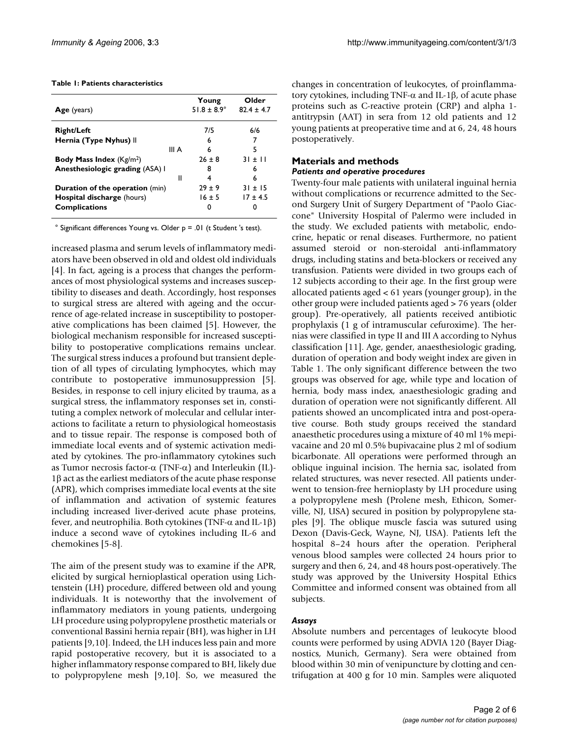#### **Table 1: Patients characteristics**

| Age (years)                            | Young<br>$51.8 \pm 8.9^{\circ}$ | Older<br>$82.4 \pm 4.7$ |
|----------------------------------------|---------------------------------|-------------------------|
| <b>Right/Left</b>                      | 7/5                             | 6/6                     |
| Hernia (Type Nyhus) II                 | 6                               | 7                       |
| III A                                  | 6                               | 5                       |
| <b>Body Mass Index</b> ( $Kg/m2$ )     | $26 \pm 8$                      | $31 \pm 11$             |
| <b>Anesthesiologic grading (ASA) I</b> | 8                               | 6                       |
| Ш                                      | 4                               | 6                       |
| <b>Duration of the operation</b> (min) | $79 + 9$                        | $31 + 15$               |
| <b>Hospital discharge (hours)</b>      | $16 \pm 5$                      | $17 \pm 4.5$            |
| <b>Complications</b>                   | 0                               | O                       |

° Significant differences Young vs. Older p = .01 (t Student 's test).

increased plasma and serum levels of inflammatory mediators have been observed in old and oldest old individuals [4]. In fact, ageing is a process that changes the performances of most physiological systems and increases susceptibility to diseases and death. Accordingly, host responses to surgical stress are altered with ageing and the occurrence of age-related increase in susceptibility to postoperative complications has been claimed [5]. However, the biological mechanism responsible for increased susceptibility to postoperative complications remains unclear. The surgical stress induces a profound but transient depletion of all types of circulating lymphocytes, which may contribute to postoperative immunosuppression [5]. Besides, in response to cell injury elicited by trauma, as a surgical stress, the inflammatory responses set in, constituting a complex network of molecular and cellular interactions to facilitate a return to physiological homeostasis and to tissue repair. The response is composed both of immediate local events and of systemic activation mediated by cytokines. The pro-inflammatory cytokines such as Tumor necrosis factor-α (TNF-α) and Interleukin (IL)- 1β act as the earliest mediators of the acute phase response (APR), which comprises immediate local events at the site of inflammation and activation of systemic features including increased liver-derived acute phase proteins, fever, and neutrophilia. Both cytokines (TNF-α and IL-1β) induce a second wave of cytokines including IL-6 and chemokines [5-8].

The aim of the present study was to examine if the APR, elicited by surgical hernioplastical operation using Lichtenstein (LH) procedure, differed between old and young individuals. It is noteworthy that the involvement of inflammatory mediators in young patients, undergoing LH procedure using polypropylene prosthetic materials or conventional Bassini hernia repair (BH), was higher in LH patients [9,10]. Indeed, the LH induces less pain and more rapid postoperative recovery, but it is associated to a higher inflammatory response compared to BH, likely due to polypropylene mesh [9,10]. So, we measured the changes in concentration of leukocytes, of proinflammatory cytokines, including TNF-α and IL-1β, of acute phase proteins such as C-reactive protein (CRP) and alpha 1 antitrypsin (AAT) in sera from 12 old patients and 12 young patients at preoperative time and at 6, 24, 48 hours postoperatively.

# **Materials and methods** *Patients and operative procedures*

Twenty-four male patients with unilateral inguinal hernia without complications or recurrence admitted to the Second Surgery Unit of Surgery Department of "Paolo Giaccone" University Hospital of Palermo were included in the study. We excluded patients with metabolic, endocrine, hepatic or renal diseases. Furthermore, no patient assumed steroid or non-steroidal anti-inflammatory drugs, including statins and beta-blockers or received any transfusion. Patients were divided in two groups each of 12 subjects according to their age. In the first group were allocated patients aged < 61 years (younger group), in the other group were included patients aged > 76 years (older group). Pre-operatively, all patients received antibiotic prophylaxis (1 g of intramuscular cefuroxime). The hernias were classified in type II and III A according to Nyhus classification [11]. Age, gender, anaesthesiologic grading, duration of operation and body weight index are given in Table 1. The only significant difference between the two groups was observed for age, while type and location of hernia, body mass index, anaesthesiologic grading and duration of operation were not significantly different. All patients showed an uncomplicated intra and post-operative course. Both study groups received the standard anaesthetic procedures using a mixture of 40 ml 1% mepivacaine and 20 ml 0.5% bupivacaine plus 2 ml of sodium bicarbonate. All operations were performed through an oblique inguinal incision. The hernia sac, isolated from related structures, was never resected. All patients underwent to tension-free hernioplasty by LH procedure using a polypropylene mesh (Prolene mesh, Ethicon, Somerville, NJ, USA) secured in position by polypropylene staples [9]. The oblique muscle fascia was sutured using Dexon (Davis-Geck, Wayne, NJ, USA). Patients left the hospital 8–24 hours after the operation. Peripheral venous blood samples were collected 24 hours prior to surgery and then 6, 24, and 48 hours post-operatively. The study was approved by the University Hospital Ethics Committee and informed consent was obtained from all subjects.

# *Assays*

Absolute numbers and percentages of leukocyte blood counts were performed by using ADVIA 120 (Bayer Diagnostics, Munich, Germany). Sera were obtained from blood within 30 min of venipuncture by clotting and centrifugation at 400 g for 10 min. Samples were aliquoted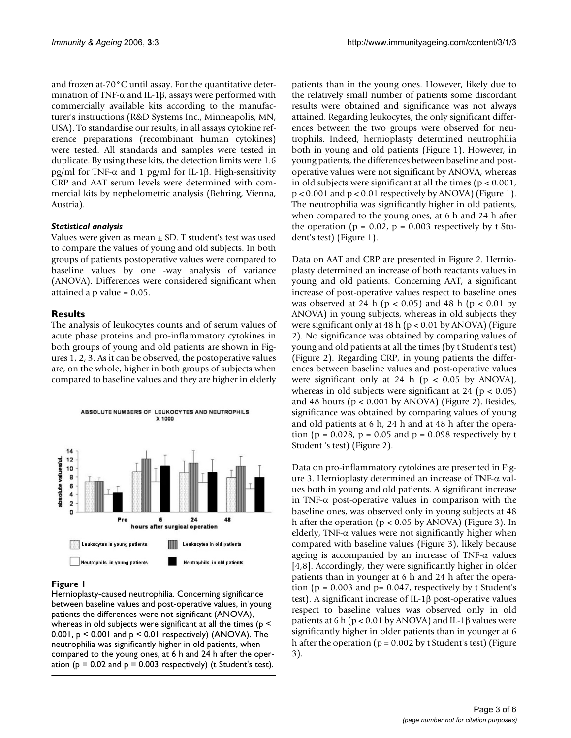and frozen at-70°C until assay. For the quantitative determination of TNF- $\alpha$  and IL-1 $\beta$ , assays were performed with commercially available kits according to the manufacturer's instructions (R&D Systems Inc., Minneapolis, MN, USA). To standardise our results, in all assays cytokine reference preparations (recombinant human cytokines) were tested. All standards and samples were tested in duplicate. By using these kits, the detection limits were 1.6 pg/ml for TNF-α and 1 pg/ml for IL-1β. High-sensitivity CRP and AAT serum levels were determined with commercial kits by nephelometric analysis (Behring, Vienna, Austria).

# *Statistical analysis*

Values were given as mean  $\pm$  SD. T student's test was used to compare the values of young and old subjects. In both groups of patients postoperative values were compared to baseline values by one -way analysis of variance (ANOVA). Differences were considered significant when attained a p value = 0.05.

# **Results**

The analysis of leukocytes counts and of serum values of acute phase proteins and pro-inflammatory cytokines in both groups of young and old patients are shown in Figures 1, 2, 3. As it can be observed, the postoperative values are, on the whole, higher in both groups of subjects when compared to baseline values and they are higher in elderly



# **Figure 1**

Hernioplasty-caused neutrophilia. Concerning significance between baseline values and post-operative values, in young patients the differences were not significant (ANOVA), whereas in old subjects were significant at all the times (p < 0.001, p < 0.001 and p < 0.01 respectively) (ANOVA). The neutrophilia was significantly higher in old patients, when compared to the young ones, at 6 h and 24 h after the operation ( $p = 0.02$  and  $p = 0.003$  respectively) (t Student's test).

patients than in the young ones. However, likely due to the relatively small number of patients some discordant results were obtained and significance was not always attained. Regarding leukocytes, the only significant differences between the two groups were observed for neutrophils. Indeed, hernioplasty determined neutrophilia both in young and old patients (Figure 1). However, in young patients, the differences between baseline and postoperative values were not significant by ANOVA, whereas in old subjects were significant at all the times ( $p < 0.001$ , p < 0.001 and p < 0.01 respectively by ANOVA) (Figure 1). The neutrophilia was significantly higher in old patients, when compared to the young ones, at 6 h and 24 h after the operation ( $p = 0.02$ ,  $p = 0.003$  respectively by t Student's test) (Figure 1).

Data on AAT and CRP are presented in Figure 2. Hernioplasty determined an increase of both reactants values in young and old patients. Concerning AAT, a significant increase of post-operative values respect to baseline ones was observed at 24 h ( $p < 0.05$ ) and 48 h ( $p < 0.01$  by ANOVA) in young subjects, whereas in old subjects they were significant only at 48 h (p < 0.01 by ANOVA) (Figure 2). No significance was obtained by comparing values of young and old patients at all the times (by t Student's test) (Figure 2). Regarding CRP, in young patients the differences between baseline values and post-operative values were significant only at 24 h ( $p < 0.05$  by ANOVA), whereas in old subjects were significant at 24 ( $p < 0.05$ ) and 48 hours (p < 0.001 by ANOVA) (Figure 2). Besides, significance was obtained by comparing values of young and old patients at 6 h, 24 h and at 48 h after the operation ( $p = 0.028$ ,  $p = 0.05$  and  $p = 0.098$  respectively by t Student 's test) (Figure 2).

Data on pro-inflammatory cytokines are presented in Figure 3. Hernioplasty determined an increase of TNF-α values both in young and old patients. A significant increase in TNF- $\alpha$  post-operative values in comparison with the baseline ones, was observed only in young subjects at 48 h after the operation (p < 0.05 by ANOVA) (Figure 3). In elderly, TNF- $\alpha$  values were not significantly higher when compared with baseline values (Figure 3), likely because ageing is accompanied by an increase of TNF- $\alpha$  values [4,8]. Accordingly, they were significantly higher in older patients than in younger at 6 h and 24 h after the operation ( $p = 0.003$  and  $p = 0.047$ , respectively by t Student's test). A significant increase of IL-1β post-operative values respect to baseline values was observed only in old patients at 6 h ( $p < 0.01$  by ANOVA) and IL-1 $\beta$  values were significantly higher in older patients than in younger at 6 h after the operation ( $p = 0.002$  by t Student's test) (Figure 3).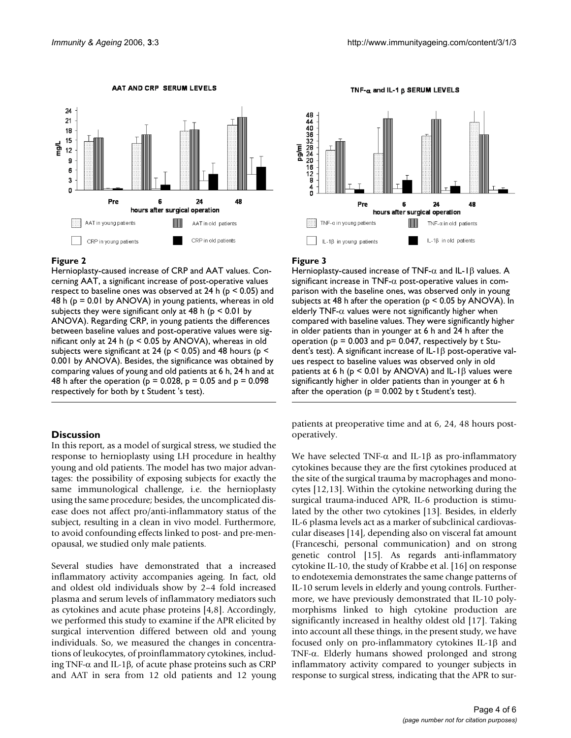24 21 18 15 詞  $12$ 9 6 3 n Pre 24 6 48 hours after surgical operation AAT in young patients AAT in old patients CRP in old patients CRP in young patients

AAT AND CRP SERUM LEVELS

# Figure 2

Hernioplasty-caused increase of CRP and AAT values. Concerning AAT, a significant increase of post-operative values respect to baseline ones was observed at 24 h ( $p < 0.05$ ) and 48 h ( $p = 0.01$  by ANOVA) in young patients, whereas in old subjects they were significant only at 48 h ( $p < 0.01$  by ANOVA). Regarding CRP, in young patients the differences between baseline values and post-operative values were significant only at 24 h ( $p$  < 0.05 by ANOVA), whereas in old subjects were significant at 24 ( $p$  < 0.05) and 48 hours ( $p$  < 0.001 by ANOVA). Besides, the significance was obtained by comparing values of young and old patients at 6 h, 24 h and at 48 h after the operation ( $p = 0.028$ ,  $p = 0.05$  and  $p = 0.098$ respectively for both by t Student 's test).

# **Discussion**

In this report, as a model of surgical stress, we studied the response to hernioplasty using LH procedure in healthy young and old patients. The model has two major advantages: the possibility of exposing subjects for exactly the same immunological challenge, i.e. the hernioplasty using the same procedure; besides, the uncomplicated disease does not affect pro/anti-inflammatory status of the subject, resulting in a clean in vivo model. Furthermore, to avoid confounding effects linked to post- and pre-menopausal, we studied only male patients.

Several studies have demonstrated that a increased inflammatory activity accompanies ageing. In fact, old and oldest old individuals show by 2–4 fold increased plasma and serum levels of inflammatory mediators such as cytokines and acute phase proteins [4,8]. Accordingly, we performed this study to examine if the APR elicited by surgical intervention differed between old and young individuals. So, we measured the changes in concentrations of leukocytes, of proinflammatory cytokines, including TNF-α and IL-1β, of acute phase proteins such as CRP and AAT in sera from 12 old patients and 12 young

TNF- $\alpha$  and IL-1  $\beta$  SERUM LEVELS



#### Figure 3

Hernioplasty-caused increase of TNF-α and IL-1β values. A significant increase in TNF- $\alpha$  post-operative values in comparison with the baseline ones, was observed only in young subjects at 48 h after the operation ( $p < 0.05$  by ANOVA). In elderly TNF- $\alpha$  values were not significantly higher when compared with baseline values. They were significantly higher in older patients than in younger at 6 h and 24 h after the operation ( $p = 0.003$  and  $p = 0.047$ , respectively by t Student's test). A significant increase of IL-1β post-operative values respect to baseline values was observed only in old patients at 6 h ( $p \le 0.01$  by ANOVA) and IL-1 $\beta$  values were significantly higher in older patients than in younger at 6 h after the operation ( $p = 0.002$  by t Student's test).

patients at preoperative time and at 6, 24, 48 hours postoperatively.

We have selected TNF- $\alpha$  and IL-1 $\beta$  as pro-inflammatory cytokines because they are the first cytokines produced at the site of the surgical trauma by macrophages and monocytes [12,13]. Within the cytokine networking during the surgical trauma-induced APR, IL-6 production is stimulated by the other two cytokines [13]. Besides, in elderly IL-6 plasma levels act as a marker of subclinical cardiovascular diseases [14], depending also on visceral fat amount (Franceschi, personal communication) and on strong genetic control [15]. As regards anti-inflammatory cytokine IL-10, the study of Krabbe et al. [16] on response to endotexemia demonstrates the same change patterns of IL-10 serum levels in elderly and young controls. Furthermore, we have previously demonstrated that IL-10 polymorphisms linked to high cytokine production are significantly increased in healthy oldest old [17]. Taking into account all these things, in the present study, we have focused only on pro-inflammatory cytokines IL-1β and TNF-α. Elderly humans showed prolonged and strong inflammatory activity compared to younger subjects in response to surgical stress, indicating that the APR to sur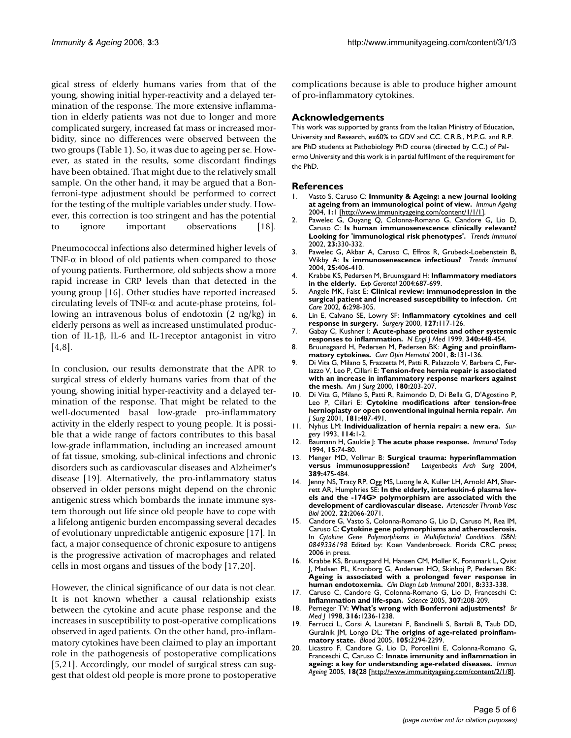gical stress of elderly humans varies from that of the young, showing initial hyper-reactivity and a delayed termination of the response. The more extensive inflammation in elderly patients was not due to longer and more complicated surgery, increased fat mass or increased morbidity, since no differences were observed between the two groups (Table 1). So, it was due to ageing per se. However, as stated in the results, some discordant findings have been obtained. That might due to the relatively small sample. On the other hand, it may be argued that a Bonferroni-type adjustment should be performed to correct for the testing of the multiple variables under study. However, this correction is too stringent and has the potential to ignore important observations [18].

Pneumococcal infections also determined higher levels of TNF- $\alpha$  in blood of old patients when compared to those of young patients. Furthermore, old subjects show a more rapid increase in CRP levels than that detected in the young group [16]. Other studies have reported increased circulating levels of TNF-α and acute-phase proteins, following an intravenous bolus of endotoxin (2 ng/kg) in elderly persons as well as increased unstimulated production of IL-1β, IL-6 and IL-1receptor antagonist in vitro [4,8].

In conclusion, our results demonstrate that the APR to surgical stress of elderly humans varies from that of the young, showing initial hyper-reactivity and a delayed termination of the response. That might be related to the well-documented basal low-grade pro-inflammatory activity in the elderly respect to young people. It is possible that a wide range of factors contributes to this basal low-grade inflammation, including an increased amount of fat tissue, smoking, sub-clinical infections and chronic disorders such as cardiovascular diseases and Alzheimer's disease [19]. Alternatively, the pro-inflammatory status observed in older persons might depend on the chronic antigenic stress which bombards the innate immune system thorough out life since old people have to cope with a lifelong antigenic burden encompassing several decades of evolutionary unpredictable antigenic exposure [17]. In fact, a major consequence of chronic exposure to antigens is the progressive activation of macrophages and related cells in most organs and tissues of the body [17,20].

However, the clinical significance of our data is not clear. It is not known whether a causal relationship exists between the cytokine and acute phase response and the increases in susceptibility to post-operative complications observed in aged patients. On the other hand, pro-inflammatory cytokines have been claimed to play an important role in the pathogenesis of postoperative complications [5,21]. Accordingly, our model of surgical stress can suggest that oldest old people is more prone to postoperative complications because is able to produce higher amount of pro-inflammatory cytokines.

# **Acknowledgements**

This work was supported by grants from the Italian Ministry of Education, University and Research, ex60% to GDV and CC. C.R.B., M.P.G. and R.P. are PhD students at Pathobiology PhD course (directed by C.C.) of Palermo University and this work is in partial fulfilment of the requirement for the PhD.

#### **References**

- 1. Vasto S, Caruso C: **[Immunity & Ageing: a new journal looking](http://www.ncbi.nlm.nih.gov/entrez/query.fcgi?cmd=Retrieve&db=PubMed&dopt=Abstract&list_uids=15679921) [at ageing from an immunological point of view.](http://www.ncbi.nlm.nih.gov/entrez/query.fcgi?cmd=Retrieve&db=PubMed&dopt=Abstract&list_uids=15679921)** *Immun Ageing* 2004, **1:**1 [[http://www.immunityageing.com/content/1/1/1\]](http://www.immunityageing.com/content/1/1/1).
- 2. Pawelec G, Ouyang Q, Colonna-Romano G, Candore G, Lio D, Caruso C: **[Is human immunosenescence clinically relevant?](http://www.ncbi.nlm.nih.gov/entrez/query.fcgi?cmd=Retrieve&db=PubMed&dopt=Abstract&list_uids=12103341) [Looking for 'immunological risk phenotypes'.](http://www.ncbi.nlm.nih.gov/entrez/query.fcgi?cmd=Retrieve&db=PubMed&dopt=Abstract&list_uids=12103341)** *Trends Immunol* 2002, **23:**330-332.
- 3. Pawelec G, Akbar A, Caruso C, Effros R, Grubeck-Loebenstein B, Wikby A: **[Is immunosenescence infectious?](http://www.ncbi.nlm.nih.gov/entrez/query.fcgi?cmd=Retrieve&db=PubMed&dopt=Abstract&list_uids=15275638)** *Trends Immunol* 2004, **25:**406-410.
- 4. Krabbe KS, Pedersen M, Bruunsgaard H: **[Inflammatory mediators](http://www.ncbi.nlm.nih.gov/entrez/query.fcgi?cmd=Retrieve&db=PubMed&dopt=Abstract&list_uids=15130663) [in the elderly.](http://www.ncbi.nlm.nih.gov/entrez/query.fcgi?cmd=Retrieve&db=PubMed&dopt=Abstract&list_uids=15130663)** *Exp Gerontol* 2004:687-699.
- 5. Angele MK, Faist E: **[Clinical review: immunodepression in the](http://www.ncbi.nlm.nih.gov/entrez/query.fcgi?cmd=Retrieve&db=PubMed&dopt=Abstract&list_uids=12225603) [surgical patient and increased susceptibility to infection.](http://www.ncbi.nlm.nih.gov/entrez/query.fcgi?cmd=Retrieve&db=PubMed&dopt=Abstract&list_uids=12225603)** *Crit Care* 2002, **6:**298-305.
- 6. Lin E, Calvano SE, Lowry SF: **[Inflammatory cytokines and cell](http://www.ncbi.nlm.nih.gov/entrez/query.fcgi?cmd=Retrieve&db=PubMed&dopt=Abstract&list_uids=10686974) [response in surgery.](http://www.ncbi.nlm.nih.gov/entrez/query.fcgi?cmd=Retrieve&db=PubMed&dopt=Abstract&list_uids=10686974)** *Surgery* 2000, **127:**117-126.
- 7. Gabay C, Kushner I: **[Acute-phase proteins and other systemic](http://www.ncbi.nlm.nih.gov/entrez/query.fcgi?cmd=Retrieve&db=PubMed&dopt=Abstract&list_uids=9971870) [responses to inflammation.](http://www.ncbi.nlm.nih.gov/entrez/query.fcgi?cmd=Retrieve&db=PubMed&dopt=Abstract&list_uids=9971870)** *N Engl J Med* 1999, **340:**448-454.
- 8. Bruunsgaard H, Pedersen M, Pedersen BK: **[Aging and proinflam](http://www.ncbi.nlm.nih.gov/entrez/query.fcgi?cmd=Retrieve&db=PubMed&dopt=Abstract&list_uids=11303144)[matory cytokines.](http://www.ncbi.nlm.nih.gov/entrez/query.fcgi?cmd=Retrieve&db=PubMed&dopt=Abstract&list_uids=11303144)** *Curr Opin Hematol* 2001, **8:**131-136.
- 9. Di Vita G, Milano S, Frazzetta M, Patti R, Palazzolo V, Barbera C, Ferlazzo V, Leo P, Cillari E: **[Tension-free hernia repair is associated](http://www.ncbi.nlm.nih.gov/entrez/query.fcgi?cmd=Retrieve&db=PubMed&dopt=Abstract&list_uids=11084130) [with an increase in inflammatory response markers against](http://www.ncbi.nlm.nih.gov/entrez/query.fcgi?cmd=Retrieve&db=PubMed&dopt=Abstract&list_uids=11084130) [the mesh.](http://www.ncbi.nlm.nih.gov/entrez/query.fcgi?cmd=Retrieve&db=PubMed&dopt=Abstract&list_uids=11084130)** *Am J Surg* 2000, **180:**203-207.
- 10. Di Vita G, Milano S, Patti R, Raimondo D, Di Bella G, D'Agostino P, Leo P, Cillari E: **[Cytokine modifications after tension-free](http://www.ncbi.nlm.nih.gov/entrez/query.fcgi?cmd=Retrieve&db=PubMed&dopt=Abstract&list_uids=11513771) [hernioplasty or open conventional inguinal hernia repair.](http://www.ncbi.nlm.nih.gov/entrez/query.fcgi?cmd=Retrieve&db=PubMed&dopt=Abstract&list_uids=11513771)** *Am J Surg* 2001, **181:**487-491.
- 11. Nyhus LM: **[Individualization of hernia repair: a new era.](http://www.ncbi.nlm.nih.gov/entrez/query.fcgi?cmd=Retrieve&db=PubMed&dopt=Abstract&list_uids=8356511)** *Surgery* 1993, **114:**1-2.
- 12. Baumann H, Gauldie J: **[The acute phase response.](http://www.ncbi.nlm.nih.gov/entrez/query.fcgi?cmd=Retrieve&db=PubMed&dopt=Abstract&list_uids=7512342)** *Immunol Today* 1994, **15:**74-80.
- 13. Menger MD, Vollmar B: **[Surgical trauma: hyperinflammation](http://www.ncbi.nlm.nih.gov/entrez/query.fcgi?cmd=Retrieve&db=PubMed&dopt=Abstract&list_uids=15173946) [versus immunosuppression?](http://www.ncbi.nlm.nih.gov/entrez/query.fcgi?cmd=Retrieve&db=PubMed&dopt=Abstract&list_uids=15173946)** *Langenbecks Arch Surg* 2004, **389:**475-484.
- 14. Jenny NS, Tracy RP, Ogg MS, Luong le A, Kuller LH, Arnold AM, Sharrett AR, Humphries SE: **[In the elderly, interleukin-6 plasma lev](http://www.ncbi.nlm.nih.gov/entrez/query.fcgi?cmd=Retrieve&db=PubMed&dopt=Abstract&list_uids=12482836)[els and the -174G> polymorphism are associated with the](http://www.ncbi.nlm.nih.gov/entrez/query.fcgi?cmd=Retrieve&db=PubMed&dopt=Abstract&list_uids=12482836) [development of cardiovascular disease.](http://www.ncbi.nlm.nih.gov/entrez/query.fcgi?cmd=Retrieve&db=PubMed&dopt=Abstract&list_uids=12482836)** *Arterioscler Thromb Vasc Biol* 2002, **22:**2066-2071.
- 15. Candore G, Vasto S, Colonna-Romano G, Lio D, Caruso M, Rea IM, Caruso C: **Cytokine gene polymorphisms and atherosclerosis.** In *Cytokine Gene Polymorphisms in Multifactorial Conditions. ISBN: 0849336198* Edited by: Koen Vandenbroeck. Florida CRC press; 2006 in press.
- 16. Krabbe KS, Bruunsgaard H, Hansen CM, Moller K, Fonsmark L, Qvist J, Madsen PL, Kronborg G, Andersen HO, Skinhoj P, Pedersen BK: **[Ageing is associated with a prolonged fever response in](http://www.ncbi.nlm.nih.gov/entrez/query.fcgi?cmd=Retrieve&db=PubMed&dopt=Abstract&list_uids=11238217) [human endotoxemia.](http://www.ncbi.nlm.nih.gov/entrez/query.fcgi?cmd=Retrieve&db=PubMed&dopt=Abstract&list_uids=11238217)** *Clin Diagn Lab Immunol* 2001, **8:**333-338.
- 17. Caruso C, Candore G, Colonna-Romano G, Lio D, Franceschi C: **[Inflammation and life-span.](http://www.ncbi.nlm.nih.gov/entrez/query.fcgi?cmd=Retrieve&db=PubMed&dopt=Abstract&list_uids=15655081)** *Science* 2005, **307:**208-209.
- 18. Perneger TV: **What's wrong with Bonferroni adjustments?** *Br Med J* 1998, **316:**1236-1238.
- 19. Ferrucci L, Corsi A, Lauretani F, Bandinelli S, Bartali B, Taub DD, Guralnik JM, Longo DL: **[The origins of age-related proinflam](http://www.ncbi.nlm.nih.gov/entrez/query.fcgi?cmd=Retrieve&db=PubMed&dopt=Abstract&list_uids=15572589)[matory state.](http://www.ncbi.nlm.nih.gov/entrez/query.fcgi?cmd=Retrieve&db=PubMed&dopt=Abstract&list_uids=15572589)** *Blood* 2005, **105:**2294-2299.
- 20. Licastro F, Candore G, Lio D, Porcellini E, Colonna-Romano G, Franceschi C, Caruso C: **Innate immunity and inflammation in ageing: a key for understanding age-related diseases.** *Immun Ageing* 2005, **18(2**8 [\[http://www.immunityageing.com/content/2/1/8](http://www.immunityageing.com/content/2/1/8)].